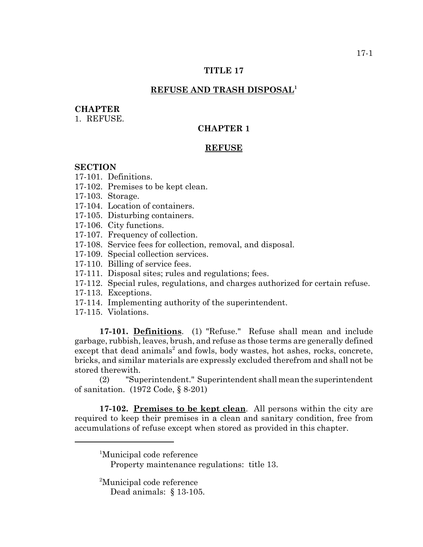### **TITLE 17**

## **REFUSE AND TRASH DISPOSAL1**

#### **CHAPTER**

1. REFUSE.

# **CHAPTER 1**

### **REFUSE**

### **SECTION**

17-101. Definitions.

17-102. Premises to be kept clean.

17-103. Storage.

17-104. Location of containers.

17-105. Disturbing containers.

17-106. City functions.

17-107. Frequency of collection.

17-108. Service fees for collection, removal, and disposal.

17-109. Special collection services.

17-110. Billing of service fees.

17-111. Disposal sites; rules and regulations; fees.

17-112. Special rules, regulations, and charges authorized for certain refuse.

17-113. Exceptions.

17-114. Implementing authority of the superintendent.

17-115. Violations.

**17-101. Definitions**. (1) "Refuse." Refuse shall mean and include garbage, rubbish, leaves, brush, and refuse as those terms are generally defined except that dead animals<sup>2</sup> and fowls, body wastes, hot ashes, rocks, concrete, bricks, and similar materials are expressly excluded therefrom and shall not be stored therewith.

(2) "Superintendent." Superintendent shall mean the superintendent of sanitation. (1972 Code, § 8-201)

**17-102. Premises to be kept clean**. All persons within the city are required to keep their premises in a clean and sanitary condition, free from accumulations of refuse except when stored as provided in this chapter.

<sup>1</sup>Municipal code reference

Property maintenance regulations: title 13.

<sup>2</sup>Municipal code reference Dead animals: § 13-105.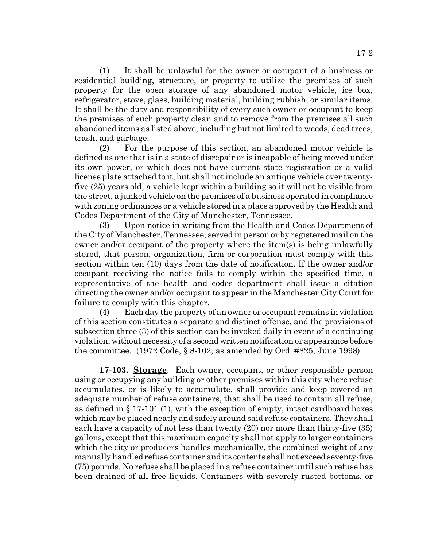(1) It shall be unlawful for the owner or occupant of a business or residential building, structure, or property to utilize the premises of such property for the open storage of any abandoned motor vehicle, ice box, refrigerator, stove, glass, building material, building rubbish, or similar items. It shall be the duty and responsibility of every such owner or occupant to keep the premises of such property clean and to remove from the premises all such abandoned items as listed above, including but not limited to weeds, dead trees, trash, and garbage.

(2) For the purpose of this section, an abandoned motor vehicle is defined as one that is in a state of disrepair or is incapable of being moved under its own power, or which does not have current state registration or a valid license plate attached to it, but shall not include an antique vehicle over twentyfive (25) years old, a vehicle kept within a building so it will not be visible from the street, a junked vehicle on the premises of a business operated in compliance with zoning ordinances or a vehicle stored in a place approved by the Health and Codes Department of the City of Manchester, Tennessee.

(3) Upon notice in writing from the Health and Codes Department of the City of Manchester, Tennessee, served in person or by registered mail on the owner and/or occupant of the property where the item(s) is being unlawfully stored, that person, organization, firm or corporation must comply with this section within ten (10) days from the date of notification. If the owner and/or occupant receiving the notice fails to comply within the specified time, a representative of the health and codes department shall issue a citation directing the owner and/or occupant to appear in the Manchester City Court for failure to comply with this chapter.

(4) Each day the property of an owner or occupant remains in violation of this section constitutes a separate and distinct offense, and the provisions of subsection three (3) of this section can be invoked daily in event of a continuing violation, without necessity of a second written notification or appearance before the committee. (1972 Code, § 8-102, as amended by Ord. #825, June 1998)

**17-103. Storage**. Each owner, occupant, or other responsible person using or occupying any building or other premises within this city where refuse accumulates, or is likely to accumulate, shall provide and keep covered an adequate number of refuse containers, that shall be used to contain all refuse, as defined in § 17-101 (1), with the exception of empty, intact cardboard boxes which may be placed neatly and safely around said refuse containers. They shall each have a capacity of not less than twenty (20) nor more than thirty-five (35) gallons, except that this maximum capacity shall not apply to larger containers which the city or producers handles mechanically, the combined weight of any manually handled refuse container and its contents shall not exceed seventy-five (75) pounds. No refuse shall be placed in a refuse container until such refuse has been drained of all free liquids. Containers with severely rusted bottoms, or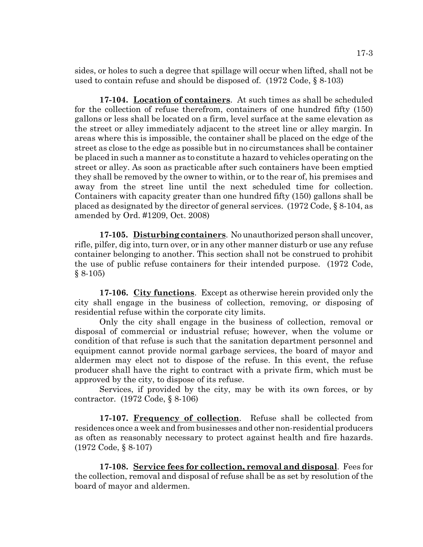sides, or holes to such a degree that spillage will occur when lifted, shall not be used to contain refuse and should be disposed of. (1972 Code, § 8-103)

**17-104. Location of containers**. At such times as shall be scheduled for the collection of refuse therefrom, containers of one hundred fifty (150) gallons or less shall be located on a firm, level surface at the same elevation as the street or alley immediately adjacent to the street line or alley margin. In areas where this is impossible, the container shall be placed on the edge of the street as close to the edge as possible but in no circumstances shall be container be placed in such a manner as to constitute a hazard to vehicles operating on the street or alley. As soon as practicable after such containers have been emptied they shall be removed by the owner to within, or to the rear of, his premises and away from the street line until the next scheduled time for collection. Containers with capacity greater than one hundred fifty (150) gallons shall be placed as designated by the director of general services. (1972 Code, § 8-104, as amended by Ord. #1209, Oct. 2008)

**17-105. Disturbing containers**. No unauthorized person shall uncover, rifle, pilfer, dig into, turn over, or in any other manner disturb or use any refuse container belonging to another. This section shall not be construed to prohibit the use of public refuse containers for their intended purpose. (1972 Code,  $§ 8-105)$ 

**17-106. City functions**. Except as otherwise herein provided only the city shall engage in the business of collection, removing, or disposing of residential refuse within the corporate city limits.

Only the city shall engage in the business of collection, removal or disposal of commercial or industrial refuse; however, when the volume or condition of that refuse is such that the sanitation department personnel and equipment cannot provide normal garbage services, the board of mayor and aldermen may elect not to dispose of the refuse. In this event, the refuse producer shall have the right to contract with a private firm, which must be approved by the city, to dispose of its refuse.

Services, if provided by the city, may be with its own forces, or by contractor. (1972 Code, § 8-106)

**17-107. Frequency of collection**. Refuse shall be collected from residences once a week and from businesses and other non-residential producers as often as reasonably necessary to protect against health and fire hazards. (1972 Code, § 8-107)

**17-108. Service fees for collection, removal and disposal**. Fees for the collection, removal and disposal of refuse shall be as set by resolution of the board of mayor and aldermen.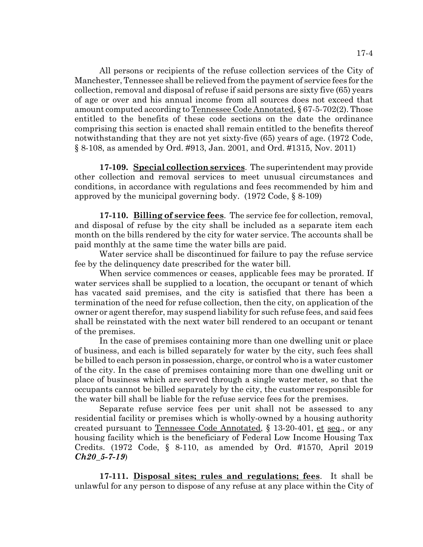All persons or recipients of the refuse collection services of the City of Manchester, Tennessee shall be relieved from the payment of service fees for the collection, removal and disposal of refuse if said persons are sixty five (65) years of age or over and his annual income from all sources does not exceed that amount computed according to Tennessee Code Annotated, § 67-5-702(2). Those entitled to the benefits of these code sections on the date the ordinance comprising this section is enacted shall remain entitled to the benefits thereof notwithstanding that they are not yet sixty-five (65) years of age. (1972 Code, § 8-108, as amended by Ord. #913, Jan. 2001, and Ord. #1315, Nov. 2011)

**17-109. Special collection services**. The superintendent may provide other collection and removal services to meet unusual circumstances and conditions, in accordance with regulations and fees recommended by him and approved by the municipal governing body. (1972 Code, § 8-109)

**17-110. Billing of service fees**. The service fee for collection, removal, and disposal of refuse by the city shall be included as a separate item each month on the bills rendered by the city for water service. The accounts shall be paid monthly at the same time the water bills are paid.

Water service shall be discontinued for failure to pay the refuse service fee by the delinquency date prescribed for the water bill.

When service commences or ceases, applicable fees may be prorated. If water services shall be supplied to a location, the occupant or tenant of which has vacated said premises, and the city is satisfied that there has been a termination of the need for refuse collection, then the city, on application of the owner or agent therefor, may suspend liability for such refuse fees, and said fees shall be reinstated with the next water bill rendered to an occupant or tenant of the premises.

In the case of premises containing more than one dwelling unit or place of business, and each is billed separately for water by the city, such fees shall be billed to each person in possession, charge, or control who is a water customer of the city. In the case of premises containing more than one dwelling unit or place of business which are served through a single water meter, so that the occupants cannot be billed separately by the city, the customer responsible for the water bill shall be liable for the refuse service fees for the premises.

Separate refuse service fees per unit shall not be assessed to any residential facility or premises which is wholly-owned by a housing authority created pursuant to Tennessee Code Annotated, § 13-20-401, et seq., or any housing facility which is the beneficiary of Federal Low Income Housing Tax Credits. (1972 Code, § 8-110, as amended by Ord. #1570, April 2019 *Ch20\_5-7-19*)

**17-111. Disposal sites; rules and regulations; fees**. It shall be unlawful for any person to dispose of any refuse at any place within the City of